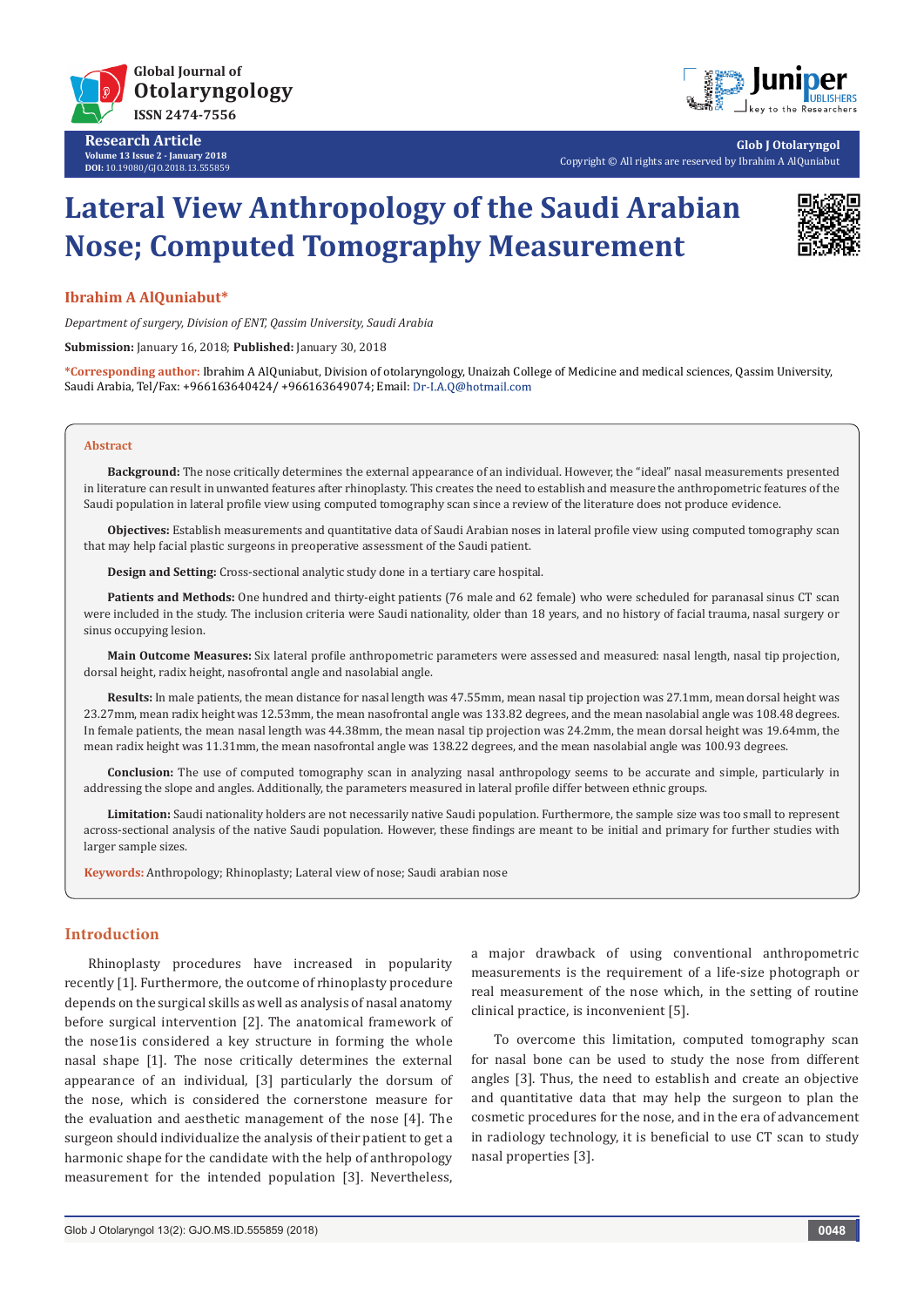

**Research Article Volume 13 Issue 2 - January 2018 DOI:** [10.19080/GJO.2018.13.555859](http://dx.doi.org/10.19080/GJO.2018.13.555859)



**Glob J Otolaryngol** Copyright © All rights are reserved by Ibrahim A AlQuniabut

# **Lateral View Anthropology of the Saudi Arabian Nose; Computed Tomography Measurement**



# **Ibrahim A AlQuniabut\***

*Department of surgery, Division of ENT, Qassim University, Saudi Arabia*

**Submission:** January 16, 2018; **Published:** January 30, 2018

**\*Corresponding author:** Ibrahim A AlQuniabut, Division of otolaryngology, Unaizah College of Medicine and medical sciences, Qassim University, Saudi Arabia, Tel/Fax: +966163640424/ +966163649074; Email:

#### **Abstract**

**Background:** The nose critically determines the external appearance of an individual. However, the "ideal" nasal measurements presented in literature can result in unwanted features after rhinoplasty. This creates the need to establish and measure the anthropometric features of the Saudi population in lateral profile view using computed tomography scan since a review of the literature does not produce evidence.

**Objectives:** Establish measurements and quantitative data of Saudi Arabian noses in lateral profile view using computed tomography scan that may help facial plastic surgeons in preoperative assessment of the Saudi patient.

**Design and Setting:** Cross-sectional analytic study done in a tertiary care hospital.

**Patients and Methods:** One hundred and thirty-eight patients (76 male and 62 female) who were scheduled for paranasal sinus CT scan were included in the study. The inclusion criteria were Saudi nationality, older than 18 years, and no history of facial trauma, nasal surgery or sinus occupying lesion.

**Main Outcome Measures:** Six lateral profile anthropometric parameters were assessed and measured: nasal length, nasal tip projection, dorsal height, radix height, nasofrontal angle and nasolabial angle.

**Results:** In male patients, the mean distance for nasal length was 47.55mm, mean nasal tip projection was 27.1mm, mean dorsal height was 23.27mm, mean radix height was 12.53mm, the mean nasofrontal angle was 133.82 degrees, and the mean nasolabial angle was 108.48 degrees. In female patients, the mean nasal length was 44.38mm, the mean nasal tip projection was 24.2mm, the mean dorsal height was 19.64mm, the mean radix height was 11.31mm, the mean nasofrontal angle was 138.22 degrees, and the mean nasolabial angle was 100.93 degrees.

**Conclusion:** The use of computed tomography scan in analyzing nasal anthropology seems to be accurate and simple, particularly in addressing the slope and angles. Additionally, the parameters measured in lateral profile differ between ethnic groups.

**Limitation:** Saudi nationality holders are not necessarily native Saudi population. Furthermore, the sample size was too small to represent across-sectional analysis of the native Saudi population. However, these findings are meant to be initial and primary for further studies with larger sample sizes.

**Keywords:** Anthropology; Rhinoplasty; Lateral view of nose; Saudi arabian nose

# **Introduction**

Rhinoplasty procedures have increased in popularity recently [1]. Furthermore, the outcome of rhinoplasty procedure depends on the surgical skills as well as analysis of nasal anatomy before surgical intervention [2]. The anatomical framework of the nose1is considered a key structure in forming the whole nasal shape [1]. The nose critically determines the external appearance of an individual, [3] particularly the dorsum of the nose, which is considered the cornerstone measure for the evaluation and aesthetic management of the nose [4]. The surgeon should individualize the analysis of their patient to get a harmonic shape for the candidate with the help of anthropology measurement for the intended population [3]. Nevertheless,

a major drawback of using conventional anthropometric measurements is the requirement of a life-size photograph or real measurement of the nose which, in the setting of routine clinical practice, is inconvenient [5].

To overcome this limitation, computed tomography scan for nasal bone can be used to study the nose from different angles [3]. Thus, the need to establish and create an objective and quantitative data that may help the surgeon to plan the cosmetic procedures for the nose, and in the era of advancement in radiology technology, it is beneficial to use CT scan to study nasal properties [3].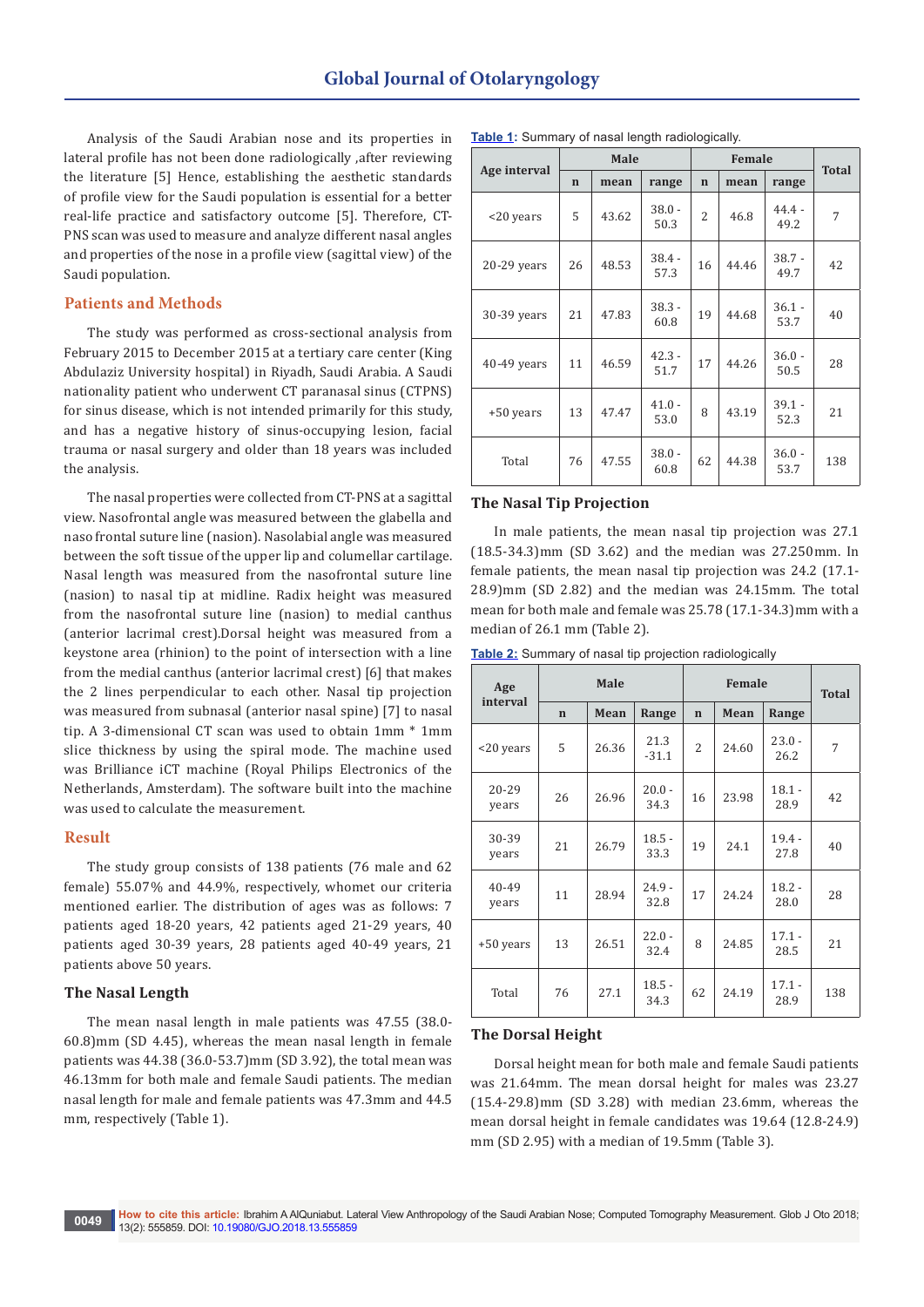Analysis of the Saudi Arabian nose and its properties in lateral profile has not been done radiologically ,after reviewing the literature [5] Hence, establishing the aesthetic standards of profile view for the Saudi population is essential for a better real-life practice and satisfactory outcome [5]. Therefore, CT-PNS scan was used to measure and analyze different nasal angles and properties of the nose in a profile view (sagittal view) of the Saudi population.

## **Patients and Methods**

The study was performed as cross-sectional analysis from February 2015 to December 2015 at a tertiary care center (King Abdulaziz University hospital) in Riyadh, Saudi Arabia. A Saudi nationality patient who underwent CT paranasal sinus (CTPNS) for sinus disease, which is not intended primarily for this study, and has a negative history of sinus-occupying lesion, facial trauma or nasal surgery and older than 18 years was included the analysis.

The nasal properties were collected from CT-PNS at a sagittal view. Nasofrontal angle was measured between the glabella and naso frontal suture line (nasion). Nasolabial angle was measured between the soft tissue of the upper lip and columellar cartilage. Nasal length was measured from the nasofrontal suture line (nasion) to nasal tip at midline. Radix height was measured from the nasofrontal suture line (nasion) to medial canthus (anterior lacrimal crest).Dorsal height was measured from a keystone area (rhinion) to the point of intersection with a line from the medial canthus (anterior lacrimal crest) [6] that makes the 2 lines perpendicular to each other. Nasal tip projection was measured from subnasal (anterior nasal spine) [7] to nasal tip. A 3-dimensional CT scan was used to obtain 1mm \* 1mm slice thickness by using the spiral mode. The machine used was Brilliance iCT machine (Royal Philips Electronics of the Netherlands, Amsterdam). The software built into the machine was used to calculate the measurement.

#### **Result**

The study group consists of 138 patients (76 male and 62 female) 55.07% and 44.9%, respectively, whomet our criteria mentioned earlier. The distribution of ages was as follows: 7 patients aged 18-20 years, 42 patients aged 21-29 years, 40 patients aged 30-39 years, 28 patients aged 40-49 years, 21 patients above 50 years.

#### **The Nasal Length**

The mean nasal length in male patients was 47.55 (38.0- 60.8)mm (SD 4.45), whereas the mean nasal length in female patients was 44.38 (36.0-53.7)mm (SD 3.92), the total mean was 46.13mm for both male and female Saudi patients. The median nasal length for male and female patients was 47.3mm and 44.5 mm, respectively (Table 1).

|               | Male        |       |                  | Female         |       |                  | <b>Total</b> |
|---------------|-------------|-------|------------------|----------------|-------|------------------|--------------|
| Age interval  | $\mathbf n$ | mean  | range            | $\mathbf n$    | mean  | range            |              |
| <20 years     | 5           | 43.62 | $38.0 -$<br>50.3 | $\overline{2}$ | 46.8  | $44.4 -$<br>49.2 | 7            |
| $20-29$ years | 26          | 48.53 | $38.4 -$<br>57.3 | 16             | 44.46 | $38.7 -$<br>49.7 | 42           |
| 30-39 years   | 21          | 47.83 | $38.3 -$<br>60.8 | 19             | 44.68 | $36.1 -$<br>53.7 | 40           |
| 40-49 years   | 11          | 46.59 | $42.3 -$<br>51.7 | 17             | 44.26 | $36.0 -$<br>50.5 | 28           |
| +50 years     | 13          | 47.47 | $41.0 -$<br>53.0 | 8              | 43.19 | $39.1 -$<br>52.3 | 21           |
| Total         | 76          | 47.55 | $38.0 -$<br>60.8 | 62             | 44.38 | $36.0 -$<br>53.7 | 138          |

#### **Table 1:** Summary of nasal length radiologically.

## **The Nasal Tip Projection**

In male patients, the mean nasal tip projection was 27.1 (18.5-34.3)mm (SD 3.62) and the median was 27.250mm. In female patients, the mean nasal tip projection was 24.2 (17.1- 28.9)mm (SD 2.82) and the median was 24.15mm. The total mean for both male and female was 25.78 (17.1-34.3)mm with a median of 26.1 mm (Table 2).

**Table 2:** Summary of nasal tip projection radiologically

| Age                | Male        |       |                  | <b>Female</b>  |       |                  | <b>Total</b> |
|--------------------|-------------|-------|------------------|----------------|-------|------------------|--------------|
| interval           | $\mathbf n$ | Mean  | Range            | $\mathbf n$    | Mean  | Range            |              |
| <20 years          | 5           | 26.36 | 21.3<br>$-31.1$  | $\overline{2}$ | 24.60 | $23.0 -$<br>26.2 | 7            |
| $20 - 29$<br>years | 26          | 26.96 | $20.0 -$<br>34.3 | 16             | 23.98 | $18.1 -$<br>28.9 | 42           |
| 30-39<br>years     | 21          | 26.79 | $18.5 -$<br>33.3 | 19             | 24.1  | $19.4 -$<br>27.8 | 40           |
| 40-49<br>years     | 11          | 28.94 | $24.9 -$<br>32.8 | 17             | 24.24 | $18.2 -$<br>28.0 | 28           |
| +50 years          | 13          | 26.51 | $22.0 -$<br>32.4 | 8              | 24.85 | $17.1 -$<br>28.5 | 21           |
| Total              | 76          | 27.1  | $18.5 -$<br>34.3 | 62             | 24.19 | $17.1 -$<br>28.9 | 138          |

#### **The Dorsal Height**

Dorsal height mean for both male and female Saudi patients was 21.64mm. The mean dorsal height for males was 23.27 (15.4-29.8)mm (SD 3.28) with median 23.6mm, whereas the mean dorsal height in female candidates was 19.64 (12.8-24.9) mm (SD 2.95) with a median of 19.5mm (Table 3).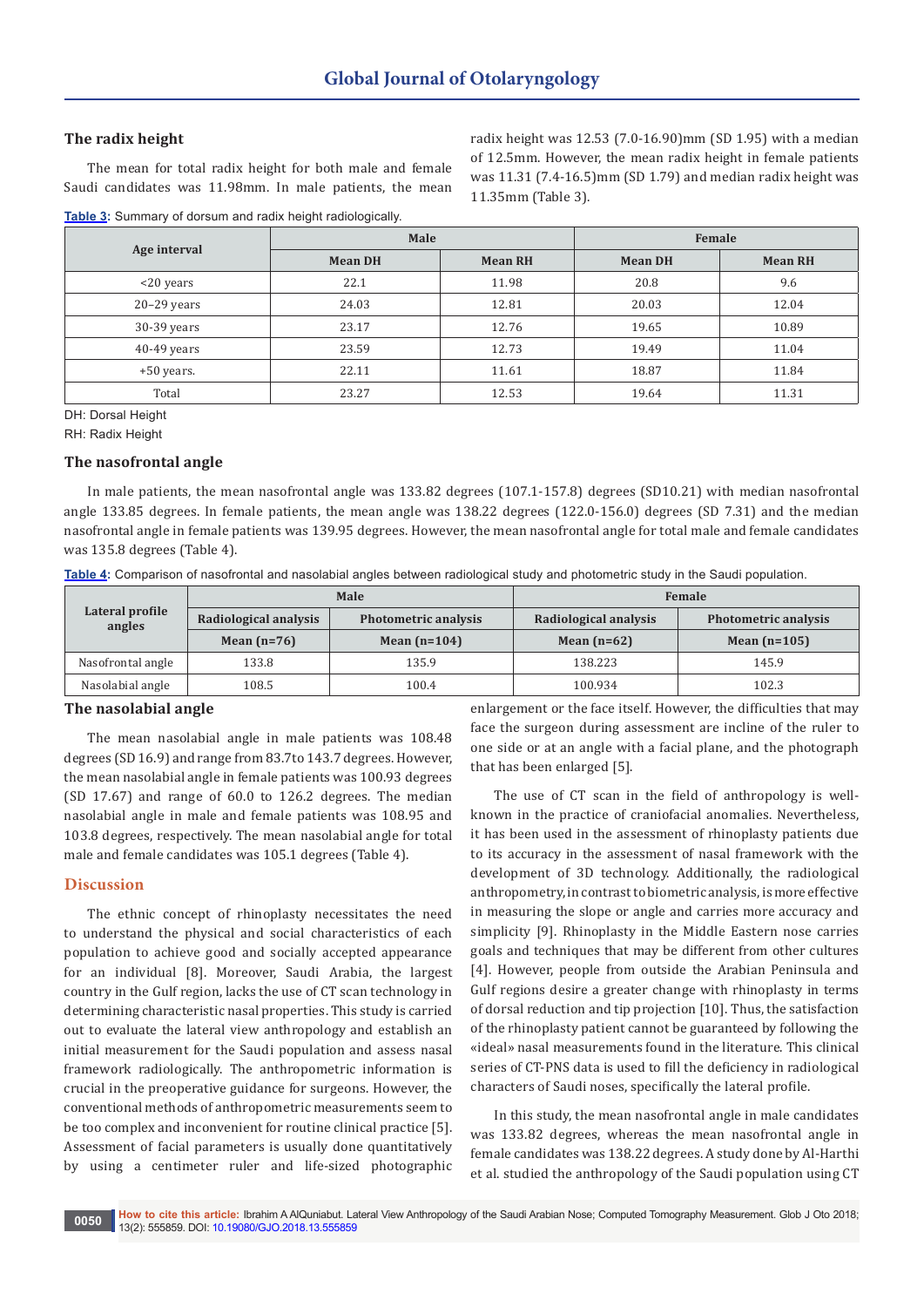# **The radix height**

The mean for total radix height for both male and female Saudi candidates was 11.98mm. In male patients, the mean

**Table 3:** Summary of dorsum and radix height radiologically.

radix height was 12.53 (7.0-16.90)mm (SD 1.95) with a median of 12.5mm. However, the mean radix height in female patients was 11.31 (7.4-16.5)mm (SD 1.79) and median radix height was 11.35mm (Table 3).

| Age interval  | Male           |                | Female         |                |  |
|---------------|----------------|----------------|----------------|----------------|--|
|               | <b>Mean DH</b> | <b>Mean RH</b> | <b>Mean DH</b> | <b>Mean RH</b> |  |
| $<$ 20 years  | 22.1           | 11.98          | 20.8           | 9.6            |  |
| $20-29$ years | 24.03          | 12.81          | 20.03          | 12.04          |  |
| $30-39$ years | 23.17          | 12.76          | 19.65          | 10.89          |  |
| $40-49$ years | 23.59          | 12.73          | 19.49          | 11.04          |  |
| $+50$ years.  | 22.11          | 11.61          | 18.87          | 11.84          |  |
| Total         | 23.27          | 12.53          | 19.64          | 11.31          |  |

DH: Dorsal Height

RH: Radix Height

## **The nasofrontal angle**

In male patients, the mean nasofrontal angle was 133.82 degrees (107.1-157.8) degrees (SD10.21) with median nasofrontal angle 133.85 degrees. In female patients, the mean angle was 138.22 degrees (122.0-156.0) degrees (SD 7.31) and the median nasofrontal angle in female patients was 139.95 degrees. However, the mean nasofrontal angle for total male and female candidates was 135.8 degrees (Table 4).

| Table 4: Comparison of nasofrontal and nasolabial angles between radiological study and photometric study in the Saudi population. |  |  |
|------------------------------------------------------------------------------------------------------------------------------------|--|--|
|                                                                                                                                    |  |  |

| Lateral profile<br>angles |                       | Male                        | Female                |                             |  |
|---------------------------|-----------------------|-----------------------------|-----------------------|-----------------------------|--|
|                           | Radiological analysis | <b>Photometric analysis</b> | Radiological analysis | <b>Photometric analysis</b> |  |
|                           | Mean $(n=76)$         | Mean $(n=104)$              | Mean $(n=62)$         | Mean $(n=105)$              |  |
| Nasofrontal angle         | 133.8                 | 135.9                       | 138.223               | 145.9                       |  |
| Nasolabial angle          | 108.5                 | 100.4                       | 100.934               | 102.3                       |  |

## **The nasolabial angle**

The mean nasolabial angle in male patients was 108.48 degrees (SD 16.9) and range from 83.7to 143.7 degrees. However, the mean nasolabial angle in female patients was 100.93 degrees (SD 17.67) and range of 60.0 to 126.2 degrees. The median nasolabial angle in male and female patients was 108.95 and 103.8 degrees, respectively. The mean nasolabial angle for total male and female candidates was 105.1 degrees (Table 4).

## **Discussion**

The ethnic concept of rhinoplasty necessitates the need to understand the physical and social characteristics of each population to achieve good and socially accepted appearance for an individual [8]. Moreover, Saudi Arabia, the largest country in the Gulf region, lacks the use of CT scan technology in determining characteristic nasal properties. This study is carried out to evaluate the lateral view anthropology and establish an initial measurement for the Saudi population and assess nasal framework radiologically. The anthropometric information is crucial in the preoperative guidance for surgeons. However, the conventional methods of anthropometric measurements seem to be too complex and inconvenient for routine clinical practice [5]. Assessment of facial parameters is usually done quantitatively by using a centimeter ruler and life-sized photographic enlargement or the face itself. However, the difficulties that may face the surgeon during assessment are incline of the ruler to one side or at an angle with a facial plane, and the photograph that has been enlarged [5].

The use of CT scan in the field of anthropology is wellknown in the practice of craniofacial anomalies. Nevertheless, it has been used in the assessment of rhinoplasty patients due to its accuracy in the assessment of nasal framework with the development of 3D technology. Additionally, the radiological anthropometry, in contrast to biometric analysis, is more effective in measuring the slope or angle and carries more accuracy and simplicity [9]. Rhinoplasty in the Middle Eastern nose carries goals and techniques that may be different from other cultures [4]. However, people from outside the Arabian Peninsula and Gulf regions desire a greater change with rhinoplasty in terms of dorsal reduction and tip projection [10]. Thus, the satisfaction of the rhinoplasty patient cannot be guaranteed by following the «ideal» nasal measurements found in the literature. This clinical series of CT-PNS data is used to fill the deficiency in radiological characters of Saudi noses, specifically the lateral profile.

In this study, the mean nasofrontal angle in male candidates was 133.82 degrees, whereas the mean nasofrontal angle in female candidates was 138.22 degrees. A study done by Al-Harthi et al. studied the anthropology of the Saudi population using CT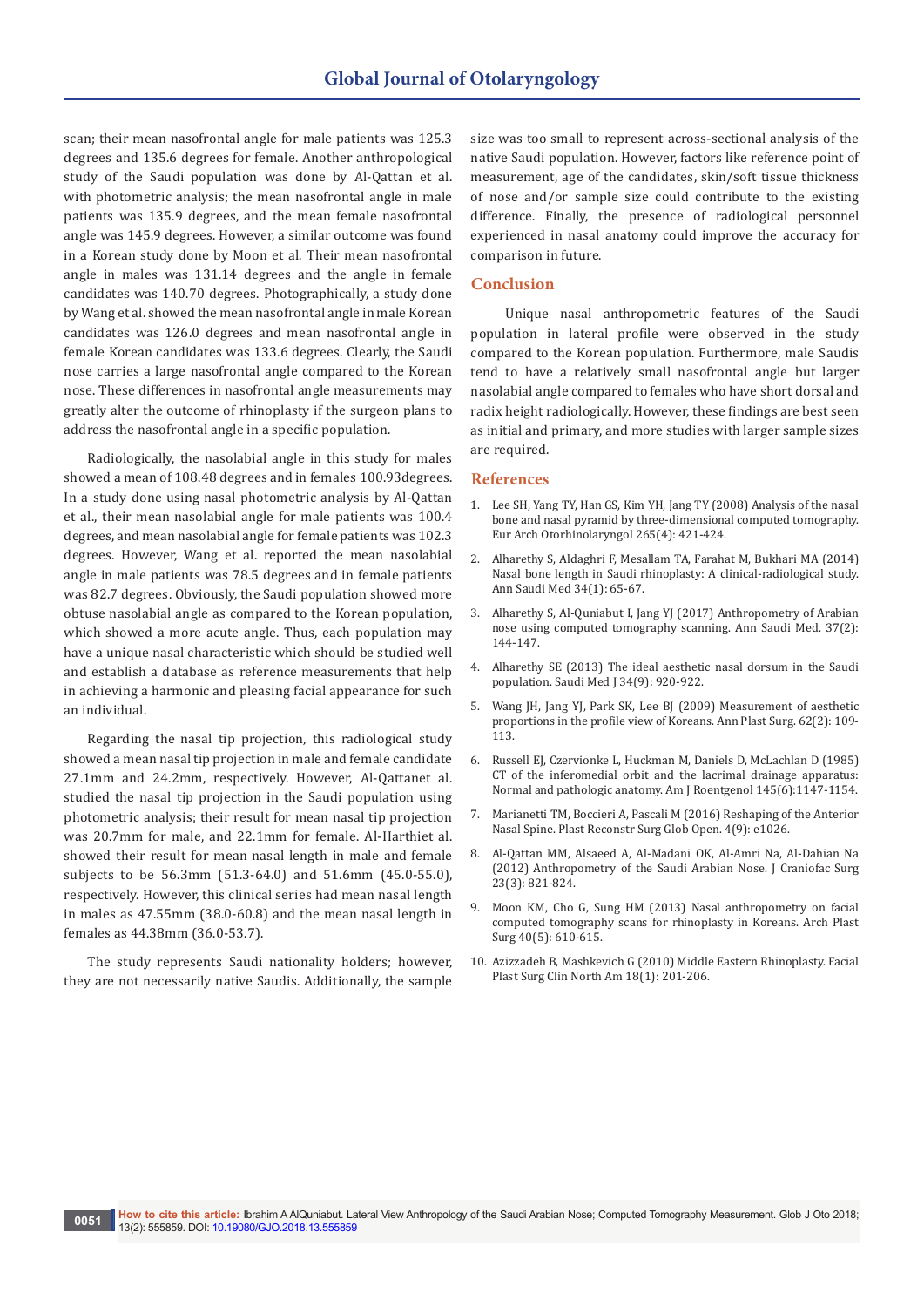scan; their mean nasofrontal angle for male patients was 125.3 degrees and 135.6 degrees for female. Another anthropological study of the Saudi population was done by Al-Qattan et al. with photometric analysis; the mean nasofrontal angle in male patients was 135.9 degrees, and the mean female nasofrontal angle was 145.9 degrees. However, a similar outcome was found in a Korean study done by Moon et al. Their mean nasofrontal angle in males was 131.14 degrees and the angle in female candidates was 140.70 degrees. Photographically, a study done by Wang et al. showed the mean nasofrontal angle in male Korean candidates was 126.0 degrees and mean nasofrontal angle in female Korean candidates was 133.6 degrees. Clearly, the Saudi nose carries a large nasofrontal angle compared to the Korean nose. These differences in nasofrontal angle measurements may greatly alter the outcome of rhinoplasty if the surgeon plans to address the nasofrontal angle in a specific population.

Radiologically, the nasolabial angle in this study for males showed a mean of 108.48 degrees and in females 100.93degrees. In a study done using nasal photometric analysis by Al-Qattan et al., their mean nasolabial angle for male patients was 100.4 degrees, and mean nasolabial angle for female patients was 102.3 degrees. However, Wang et al. reported the mean nasolabial angle in male patients was 78.5 degrees and in female patients was 82.7 degrees. Obviously, the Saudi population showed more obtuse nasolabial angle as compared to the Korean population, which showed a more acute angle. Thus, each population may have a unique nasal characteristic which should be studied well and establish a database as reference measurements that help in achieving a harmonic and pleasing facial appearance for such an individual.

Regarding the nasal tip projection, this radiological study showed a mean nasal tip projection in male and female candidate 27.1mm and 24.2mm, respectively. However, Al-Qattanet al. studied the nasal tip projection in the Saudi population using photometric analysis; their result for mean nasal tip projection was 20.7mm for male, and 22.1mm for female. Al-Harthiet al. showed their result for mean nasal length in male and female subjects to be 56.3mm (51.3-64.0) and 51.6mm (45.0-55.0), respectively. However, this clinical series had mean nasal length in males as 47.55mm (38.0-60.8) and the mean nasal length in females as 44.38mm (36.0-53.7).

The study represents Saudi nationality holders; however, they are not necessarily native Saudis. Additionally, the sample size was too small to represent across-sectional analysis of the native Saudi population. However, factors like reference point of measurement, age of the candidates, skin/soft tissue thickness of nose and/or sample size could contribute to the existing difference. Finally, the presence of radiological personnel experienced in nasal anatomy could improve the accuracy for comparison in future.

#### **Conclusion**

 Unique nasal anthropometric features of the Saudi population in lateral profile were observed in the study compared to the Korean population. Furthermore, male Saudis tend to have a relatively small nasofrontal angle but larger nasolabial angle compared to females who have short dorsal and radix height radiologically. However, these findings are best seen as initial and primary, and more studies with larger sample sizes are required.

#### **References**

- 1. [Lee SH, Yang TY, Han GS, Kim YH, Jang TY \(2008\) Analysis of the nasal](https://www.ncbi.nlm.nih.gov/pubmed/17929046)  [bone and nasal pyramid by three-dimensional computed tomography.](https://www.ncbi.nlm.nih.gov/pubmed/17929046)  [Eur Arch Otorhinolaryngol 265\(4\): 421-424.](https://www.ncbi.nlm.nih.gov/pubmed/17929046)
- 2. [Alharethy S, Aldaghri F, Mesallam TA, Farahat M, Bukhari MA \(2014\)](https://www.ncbi.nlm.nih.gov/pubmed/24658556)  [Nasal bone length in Saudi rhinoplasty: A clinical-radiological study.](https://www.ncbi.nlm.nih.gov/pubmed/24658556)  [Ann Saudi Med 34\(1\): 65-67.](https://www.ncbi.nlm.nih.gov/pubmed/24658556)
- 3. [Alharethy S, Al-Quniabut I, Jang YJ \(2017\) Anthropometry of Arabian](https://www.ncbi.nlm.nih.gov/pubmed/28377544)  [nose using computed tomography scanning. Ann Saudi Med. 37\(2\):](https://www.ncbi.nlm.nih.gov/pubmed/28377544)  [144-147.](https://www.ncbi.nlm.nih.gov/pubmed/28377544)
- 4. [Alharethy SE \(2013\) The ideal aesthetic nasal dorsum in the Saudi](https://www.ncbi.nlm.nih.gov/pubmed/24043003)  [population. Saudi Med J 34\(9\): 920-922.](https://www.ncbi.nlm.nih.gov/pubmed/24043003)
- 5. [Wang JH, Jang YJ, Park SK, Lee BJ \(2009\) Measurement of aesthetic](https://www.ncbi.nlm.nih.gov/pubmed/19158515)  [proportions in the profile view of Koreans. Ann Plast Surg. 62\(2\): 109-](https://www.ncbi.nlm.nih.gov/pubmed/19158515) [113.](https://www.ncbi.nlm.nih.gov/pubmed/19158515)
- 6. [Russell EJ, Czervionke L, Huckman M, Daniels D, McLachlan D \(1985\)](https://www.ncbi.nlm.nih.gov/pubmed/3877416)  [CT of the inferomedial orbit and the lacrimal drainage apparatus:](https://www.ncbi.nlm.nih.gov/pubmed/3877416)  [Normal and pathologic anatomy. Am J Roentgenol 145\(6\):1147-1154.](https://www.ncbi.nlm.nih.gov/pubmed/3877416)
- 7. [Marianetti TM, Boccieri A, Pascali M \(2016\) Reshaping of the Anterior](https://www.ncbi.nlm.nih.gov/pubmed/27757343)  [Nasal Spine. Plast Reconstr Surg Glob Open. 4\(9\): e1026.](https://www.ncbi.nlm.nih.gov/pubmed/27757343)
- 8. [Al-Qattan MM, Alsaeed A, Al-Madani OK, Al-Amri Na, Al-Dahian Na](https://insights.ovid.com/pubmed?pmid=22565919)  [\(2012\) Anthropometry of the Saudi Arabian Nose. J Craniofac Surg](https://insights.ovid.com/pubmed?pmid=22565919)  [23\(3\): 821-824.](https://insights.ovid.com/pubmed?pmid=22565919)
- 9. [Moon KM, Cho G, Sung HM \(2013\) Nasal anthropometry on facial](https://www.ncbi.nlm.nih.gov/pmc/articles/PMC3785598/)  [computed tomography scans for rhinoplasty in Koreans. Arch Plast](https://www.ncbi.nlm.nih.gov/pmc/articles/PMC3785598/)  [Surg 40\(5\): 610-615.](https://www.ncbi.nlm.nih.gov/pmc/articles/PMC3785598/)
- 10. [Azizzadeh B, Mashkevich G \(2010\) Middle Eastern Rhinoplasty. Facial](https://www.ncbi.nlm.nih.gov/pubmed/20206101)  [Plast Surg Clin North Am 18\(1\): 201-206.](https://www.ncbi.nlm.nih.gov/pubmed/20206101)